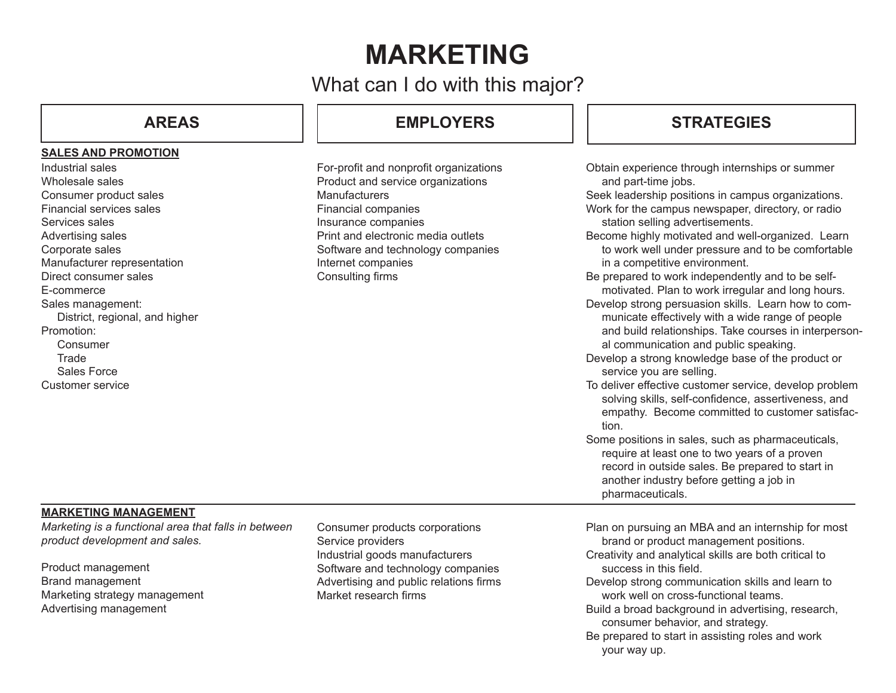# **MARKETING**

What can I do with this major?

### **SALES AND PROMOTION**

Industrial sales Wholesale sales Consumer product sales Financial services sales Services sales Advertising sales Corporate sales Manufacturer representation Direct consumer sales E-commerce Sales management: District, regional, and higher Promotion: Consumer **Trade** Sales Force Customer service

## **AREAS EMPLOYERS**

For-profit and nonprofit organ Product and service organiza **Manufacturers** Financial companies Insurance companies Print and electronic media ou Software and technology con Internet companies Consulting firms

## **STRATEGIES**

| าizations<br>ations                | Obtain experience through internships or summer<br>and part-time jobs.<br>Seek leadership positions in campus organizations.<br>Work for the campus newspaper, directory, or radio<br>station selling advertisements.                                                                                                                                                                                                                                                                                                                                                                                                                                                                                                                                                                                                                                                                                                                                  |
|------------------------------------|--------------------------------------------------------------------------------------------------------------------------------------------------------------------------------------------------------------------------------------------------------------------------------------------------------------------------------------------------------------------------------------------------------------------------------------------------------------------------------------------------------------------------------------------------------------------------------------------------------------------------------------------------------------------------------------------------------------------------------------------------------------------------------------------------------------------------------------------------------------------------------------------------------------------------------------------------------|
| ıtlets<br>npanies                  | Become highly motivated and well-organized. Learn<br>to work well under pressure and to be comfortable<br>in a competitive environment.<br>Be prepared to work independently and to be self-<br>motivated. Plan to work irregular and long hours.<br>Develop strong persuasion skills. Learn how to com-<br>municate effectively with a wide range of people<br>and build relationships. Take courses in interperson-<br>al communication and public speaking.<br>Develop a strong knowledge base of the product or<br>service you are selling.<br>To deliver effective customer service, develop problem<br>solving skills, self-confidence, assertiveness, and<br>empathy. Become committed to customer satisfac-<br>tion.<br>Some positions in sales, such as pharmaceuticals,<br>require at least one to two years of a proven<br>record in outside sales. Be prepared to start in<br>another industry before getting a job in<br>pharmaceuticals. |
| ions<br>ers<br>npanies<br>ns firms | Plan on pursuing an MBA and an internship for most<br>brand or product management positions.<br>Creativity and analytical skills are both critical to<br>success in this field.<br>Develop strong communication skills and learn to<br>work well on cross-functional teams.<br>Build a broad background in advertising, research,<br>consumer behavior, and strategy.                                                                                                                                                                                                                                                                                                                                                                                                                                                                                                                                                                                  |

## **MARKETING MANAGEMENT**

*Marketing is a functional area that falls in between product development and sales.* 

Product management Brand management Marketing strategy management Advertising management

Consumer products corporation Service providers Industrial goods manufacture Software and technology con Advertising and public relation Market research firms

> Be prepared to start in assisting roles and work your way up.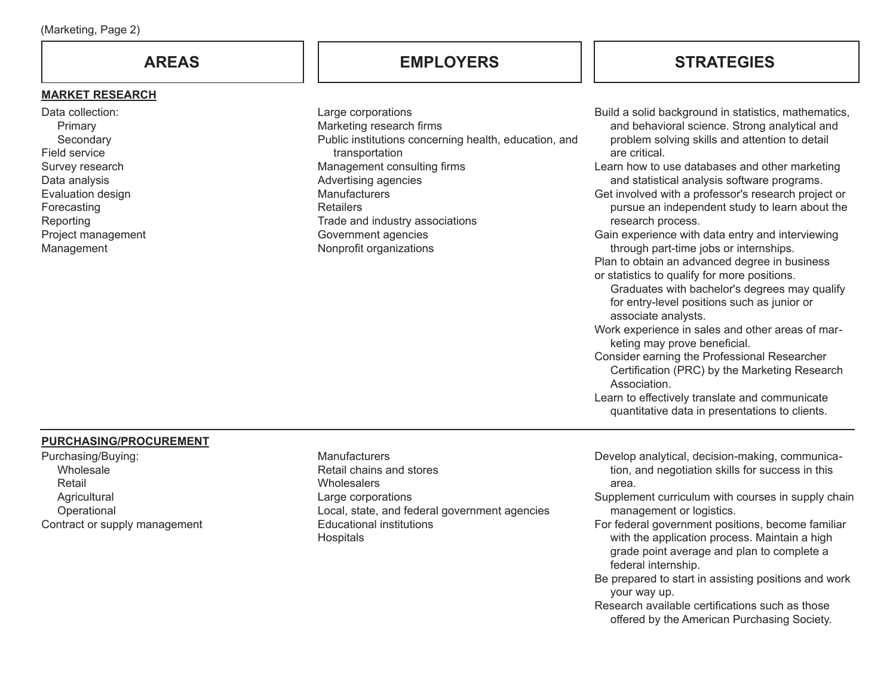### **MARKET RESEARCH**

Data collection: Primary **Secondary** Field service Survey research Data analysis Evaluation design Forecasting Reporting Project management Management

## **AREAS EMPLOYERS STRATEGIES**

| Large corporations                                    |
|-------------------------------------------------------|
| Marketing research firms                              |
| Public institutions concerning health, education, and |
| transportation                                        |
| Management consulting firms                           |
| Advertising agencies                                  |
| Manufacturers                                         |
| Retailers                                             |
| Trade and industry associations                       |
| Government agencies                                   |
| Nonprofit organizations                               |
|                                                       |

Build a solid background in statistics, mathematics, and behavioral science. Strong analytical and problem solving skills and attention to detail are critical. Learn how to use databases and other marketing and statistical analysis software programs. Get involved with a professor's research project or pursue an independent study to learn about the research process. Gain experience with data entry and interviewing through part-time jobs or internships. Plan to obtain an advanced degree in business or statistics to qualify for more positions. Graduates with bachelor's degrees may qualify for entry-level positions such as junior or associate analysts. Work experience in sales and other areas of marketing may prove beneficial. Consider earning the Professional Researcher Certification (PRC) by the Marketing Research Association. Learn to effectively translate and communicate quantitative data in presentations to clients.

### **PURCHASING/PROCUREMENT**

Purchasing/Buying: Wholesale Retail **Agricultural Operational** Contract or supply management **Manufacturers** Retail chains and stores **Wholesalers** Large corporations Local, state, and federal government agencies Educational institutions **Hospitals** 

Develop analytical, decision-making, communication, and negotiation skills for success in this area.

- Supplement curriculum with courses in supply chain management or logistics.
- For federal government positions, become familiar with the application process. Maintain a high grade point average and plan to complete a federal internship.
- Be prepared to start in assisting positions and work your way up.
- Research available certifications such as those offered by the American Purchasing Society.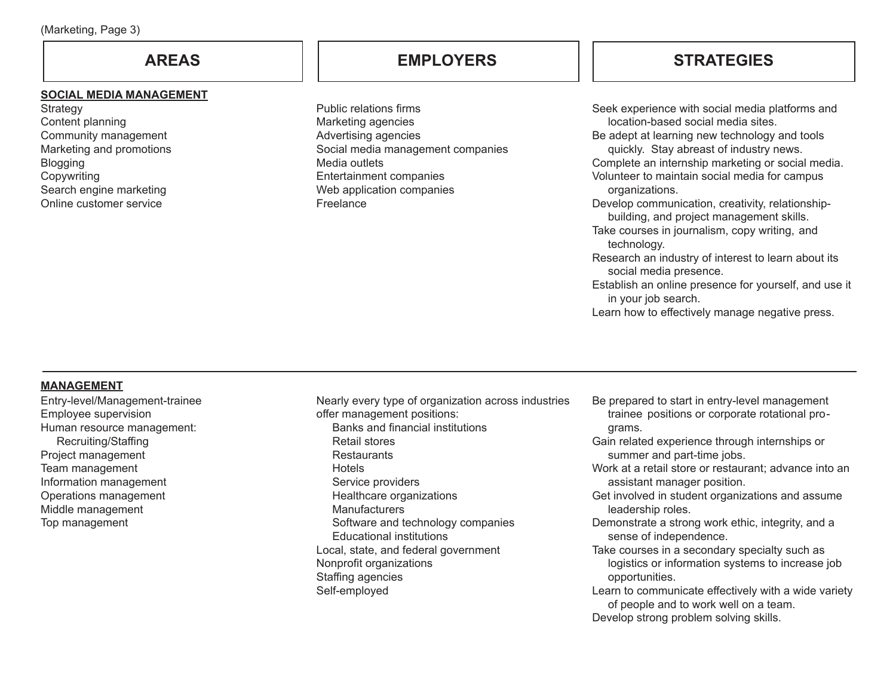### **SOCIAL MEDIA MANAGEMENT**

**Strategy** Content planning Community management Marketing and promotions **Blogging Copywriting** Search engine marketing Online customer service

## **AREAS EMPLOYERS**

Public relations firms Marketing agencies Advertising agencies Social media management companies Media outlets Entertainment companies Web application companies Freelance

## **STRATEGIES**

Seek experience with social media platforms and location-based social media sites. Be adept at learning new technology and tools quickly. Stay abreast of industry news. Complete an internship marketing or social media. Volunteer to maintain social media for campus organizations. Develop communication, creativity, relationshipbuilding, and project management skills. Take courses in journalism, copy writing, and technology. Research an industry of interest to learn about its social media presence. Establish an online presence for yourself, and use it in your job search. Learn how to effectively manage negative press.

## **MANAGEMENT**

Entry-level/Management-trainee Employee supervision Human resource management: Recruiting/Staffing Project management Team management Information management Operations management Middle management Top management

Nearly every type of organization across industries offer management positions: Banks and financial institutions Retail stores **Restaurants Hotels** Service providers Healthcare organizations **Manufacturers** Software and technology companies Educational institutions Local, state, and federal government Nonprofit organizations Staffing agencies Self-employed

- Be prepared to start in entry-level management trainee positions or corporate rotational programs.
- Gain related experience through internships or summer and part-time jobs.
- Work at a retail store or restaurant; advance into an assistant manager position.
- Get involved in student organizations and assume leadership roles.
- Demonstrate a strong work ethic, integrity, and a sense of independence.
- Take courses in a secondary specialty such as logistics or information systems to increase job opportunities.
- Learn to communicate effectively with a wide variety of people and to work well on a team. Develop strong problem solving skills.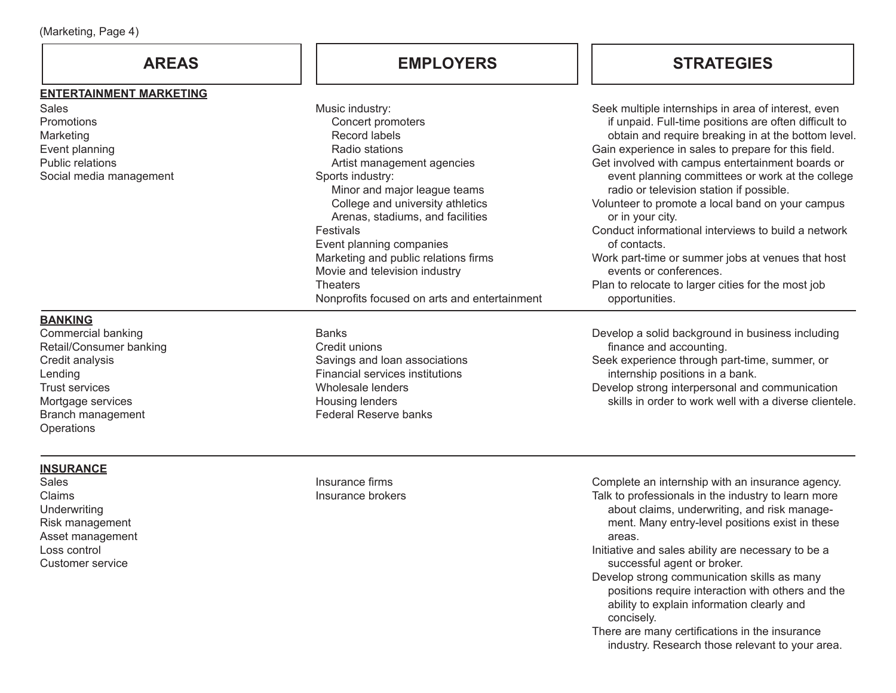### **ENTERTAINMENT MARKETING**

| Sales                   |  |  |
|-------------------------|--|--|
| Promotions              |  |  |
| Marketing               |  |  |
| Event planning          |  |  |
| Public relations        |  |  |
| Social media management |  |  |
|                         |  |  |

## **AREAS EMPLOYERS STRATEGIES**

| <u>.</u> | Music industry:                              | Seek multiple internships in area of interest, even   |
|----------|----------------------------------------------|-------------------------------------------------------|
|          | Concert promoters                            | if unpaid. Full-time positions are often difficult to |
|          | Record labels                                | obtain and require breaking in at the bottom level.   |
|          | Radio stations                               | Gain experience in sales to prepare for this field.   |
|          | Artist management agencies                   | Get involved with campus entertainment boards or      |
|          | Sports industry:                             | event planning committees or work at the college      |
|          | Minor and major league teams                 | radio or television station if possible.              |
|          | College and university athletics             | Volunteer to promote a local band on your campus      |
|          | Arenas, stadiums, and facilities             | or in your city.                                      |
|          | Festivals                                    | Conduct informational interviews to build a network   |
|          | Event planning companies                     | of contacts.                                          |
|          | Marketing and public relations firms         | Work part-time or summer jobs at venues that host     |
|          | Movie and television industry                | events or conferences.                                |
|          | <b>Theaters</b>                              | Plan to relocate to larger cities for the most job    |
|          | Nonprofits focused on arts and entertainment | opportunities.                                        |

## **BANKING**

Commercial banking Retail/Consumer banking Credit analysis Lending Trust services Mortgage services Branch management **Operations** 

## **INSURANCE**

Sales Claims **Underwriting** Risk management Asset management Loss control Customer service

**Banks** Credit unions Savings and loan associations Financial services institutions Wholesale lenders Housing lenders Federal Reserve banks

Develop a solid background in business including finance and accounting. Seek experience through part-time, summer, or internship positions in a bank.

Develop strong interpersonal and communication skills in order to work well with a diverse clientele.

Insurance firms Insurance brokers Complete an internship with an insurance agency. Talk to professionals in the industry to learn more about claims, underwriting, and risk management. Many entry-level positions exist in these areas.

- Initiative and sales ability are necessary to be a successful agent or broker.
- Develop strong communication skills as many positions require interaction with others and the ability to explain information clearly and concisely.
- There are many certifications in the insurance industry. Research those relevant to your area.